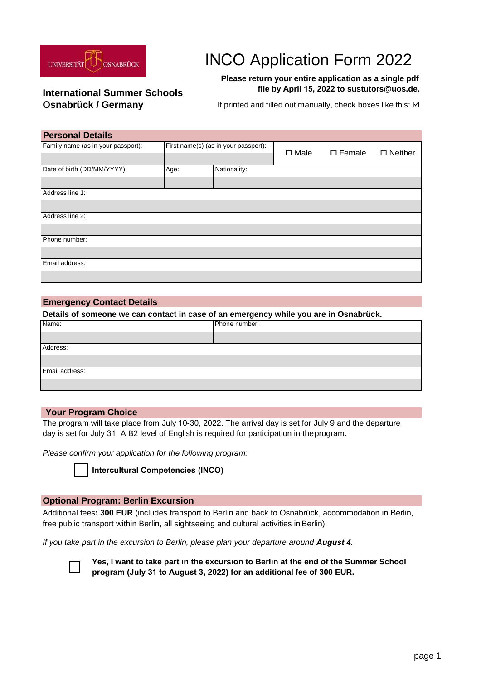

# INCO Application Form 2022

#### **Please return your entire application as a single pdf file by April 15, 2022 to sustutors@uos.de.**

# **International Summer Schools**

**Osnabrück / Germany** If printed and filled out manually, check boxes like this: ⊠.

| <b>Personal Details</b>            |                                      |              |                |                  |                   |
|------------------------------------|--------------------------------------|--------------|----------------|------------------|-------------------|
| Family name (as in your passport): | First name(s) (as in your passport): |              | $\square$ Male | $\square$ Female | $\square$ Neither |
| Date of birth (DD/MM/YYYY):        | Age:                                 | Nationality: |                |                  |                   |
|                                    |                                      |              |                |                  |                   |
| Address line 1:                    |                                      |              |                |                  |                   |
|                                    |                                      |              |                |                  |                   |
| Address line 2:                    |                                      |              |                |                  |                   |
|                                    |                                      |              |                |                  |                   |
| Phone number:                      |                                      |              |                |                  |                   |
|                                    |                                      |              |                |                  |                   |
| Email address:                     |                                      |              |                |                  |                   |
|                                    |                                      |              |                |                  |                   |

#### **Emergency Contact Details**

**Details of someone we can contact in case of an emergency while you are in Osnabrück.** 

| Name:          | Phone number: |
|----------------|---------------|
|                |               |
| Address:       |               |
|                |               |
| Email address: |               |
|                |               |

#### **Your Program Choice**

The program will take place from July 10-30, 2022. The arrival day is set for July 9 and the departure day is set for July 31. A B2 level of English is required for participation in theprogram.

*Please confirm your application for the following program:*

**Intercultural Competencies (INCO)**

#### **Optional Program: Berlin Excursion**

Additional fees**: 300 EUR** (includes transport to Berlin and back to Osnabrück, accommodation in Berlin, free public transport within Berlin, all sightseeing and cultural activities in Berlin).

*If you take part in the excursion to Berlin, please plan your departure around August 4.*



**Yes, I want to take part in the excursion to Berlin at the end of the Summer School program (July 31 to August 3, 2022) for an additional fee of 300 EUR.**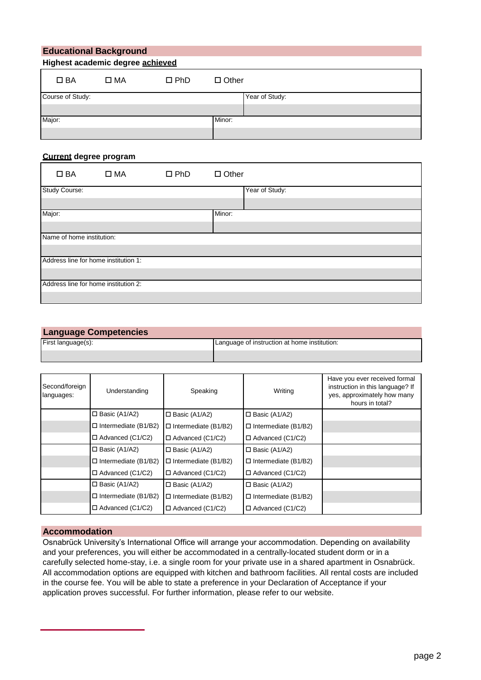| <b>Educational Background</b><br>Highest academic degree achieved |              |               |                |  |
|-------------------------------------------------------------------|--------------|---------------|----------------|--|
|                                                                   |              |               |                |  |
| $\square$ BA                                                      | $\square$ MA | $\square$ PhD | $\Box$ Other   |  |
| Course of Study:                                                  |              |               | Year of Study: |  |
|                                                                   |              |               |                |  |
| Major:                                                            |              |               | Minor:         |  |
|                                                                   |              |               |                |  |

#### **Current degree program**

| $\square$ BA              | $\square$ MA                         | $\square$ PhD | $\Box$ Other   |
|---------------------------|--------------------------------------|---------------|----------------|
| Study Course:             |                                      |               | Year of Study: |
|                           |                                      |               |                |
| Major:                    |                                      |               | Minor:         |
|                           |                                      |               |                |
| Name of home institution: |                                      |               |                |
|                           |                                      |               |                |
|                           | Address line for home institution 1: |               |                |
|                           |                                      |               |                |
|                           | Address line for home institution 2: |               |                |
|                           |                                      |               |                |

#### **Language Competencies**

| $-$<br>HIST i⊂ | nstitution.<br>at<br>nome<br>∵ınstructıon<br>mouade.<br>-a'<br>.<br>$\sim$ |
|----------------|----------------------------------------------------------------------------|
|                |                                                                            |

| Second/foreign<br>languages: | Understanding                  | Speaking                    | Writing                     | Have you ever received formal<br>instruction in this language? If<br>yes, approximately how many<br>hours in total? |
|------------------------------|--------------------------------|-----------------------------|-----------------------------|---------------------------------------------------------------------------------------------------------------------|
|                              | $\square$ Basic (A1/A2)        | $\Box$ Basic (A1/A2)        | $\Box$ Basic (A1/A2)        |                                                                                                                     |
|                              | $\Box$ Intermediate (B1/B2)    | $\Box$ Intermediate (B1/B2) | $\Box$ Intermediate (B1/B2) |                                                                                                                     |
|                              | $\Box$ Advanced (C1/C2)        | $\Box$ Advanced (C1/C2)     | □ Advanced (C1/C2)          |                                                                                                                     |
|                              | $\square$ Basic (A1/A2)        | $\Box$ Basic (A1/A2)        | $\square$ Basic (A1/A2)     |                                                                                                                     |
|                              | $\square$ Intermediate (B1/B2) | $\Box$ Intermediate (B1/B2) | $\Box$ Intermediate (B1/B2) |                                                                                                                     |
|                              | $\Box$ Advanced (C1/C2)        | $\Box$ Advanced (C1/C2)     | $\Box$ Advanced (C1/C2)     |                                                                                                                     |
|                              | $\square$ Basic (A1/A2)        | $\Box$ Basic (A1/A2)        | $\Box$ Basic (A1/A2)        |                                                                                                                     |
|                              | $\square$ Intermediate (B1/B2) | $\Box$ Intermediate (B1/B2) | $\Box$ Intermediate (B1/B2) |                                                                                                                     |
|                              | $\Box$ Advanced (C1/C2)        | $\Box$ Advanced (C1/C2)     | $\Box$ Advanced (C1/C2)     |                                                                                                                     |

#### **Accommodation**

Osnabrück University's International Office will arrange your accommodation. Depending on availability and your preferences, you will either be accommodated in a centrally-located student dorm or in a carefully selected home-stay, i.e. a single room for your private use in a shared apartment in Osnabrück. All accommodation options are equipped with kitchen and bathroom facilities. All rental costs are included in the course fee. You will be able to state a preference in your Declaration of Acceptance if your application proves successful. For further information, please refer to our website.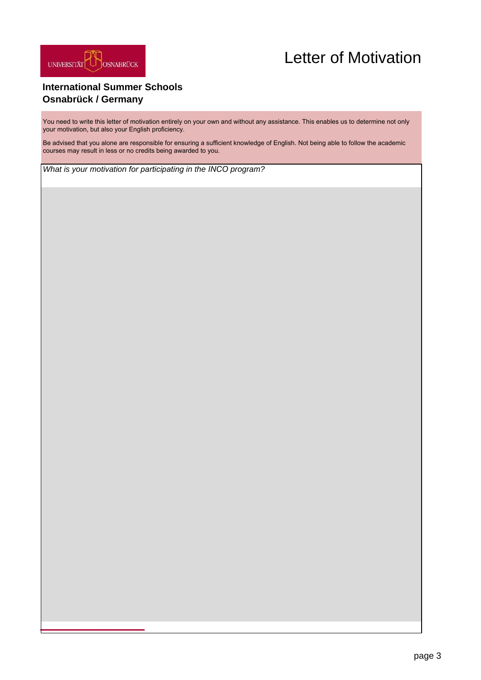

## Letter of Motivation

## **International Summer Schools Osnabrück / Germany**

You need to write this letter of motivation entirely on your own and without any assistance. This enables us to determine not only your motivation, but also your English proficiency.

Be advised that you alone are responsible for ensuring a sufficient knowledge of English. Not being able to follow the academic courses may result in less or no credits being awarded to you.

*What is your motivation for participating in the INCO program?*